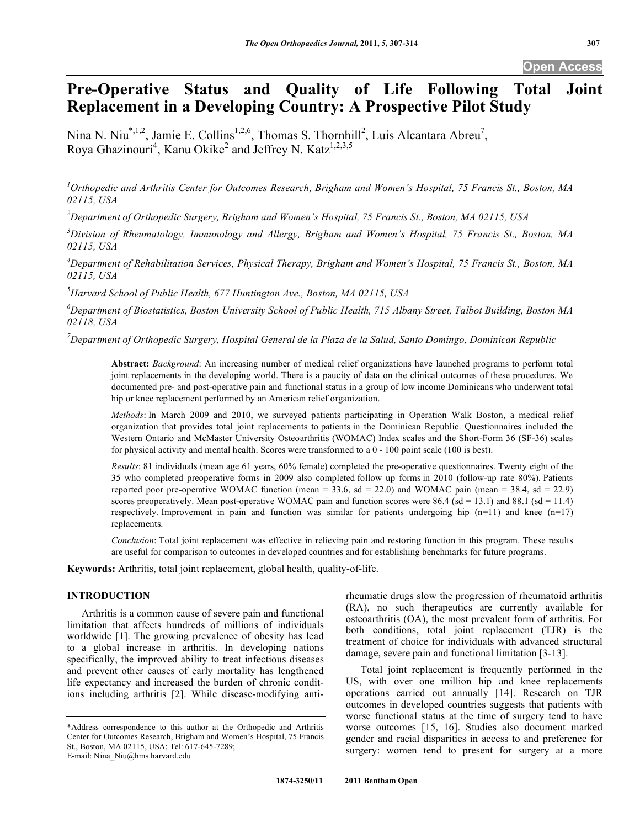# **Pre-Operative Status and Quality of Life Following Total Joint Replacement in a Developing Country: A Prospective Pilot Study**

Nina N. Niu<sup>\*,1,2</sup>, Jamie E. Collins<sup>1,2,6</sup>, Thomas S. Thornhill<sup>2</sup>, Luis Alcantara Abreu<sup>7</sup>, Roya Ghazinouri<sup>4</sup>, Kanu Okike<sup>2</sup> and Jeffrey N. Katz<sup>1,2,3,5</sup>

*1 Orthopedic and Arthritis Center for Outcomes Research, Brigham and Women's Hospital, 75 Francis St., Boston, MA 02115, USA* 

*2 Department of Orthopedic Surgery, Brigham and Women's Hospital, 75 Francis St., Boston, MA 02115, USA* 

*3 Division of Rheumatology, Immunology and Allergy, Brigham and Women's Hospital, 75 Francis St., Boston, MA 02115, USA* 

*4 Department of Rehabilitation Services, Physical Therapy, Brigham and Women's Hospital, 75 Francis St., Boston, MA 02115, USA* 

*5 Harvard School of Public Health, 677 Huntington Ave., Boston, MA 02115, USA* 

*6 Department of Biostatistics, Boston University School of Public Health, 715 Albany Street, Talbot Building, Boston MA 02118, USA* 

*7 Department of Orthopedic Surgery, Hospital General de la Plaza de la Salud, Santo Domingo, Dominican Republic* 

**Abstract:** *Background*: An increasing number of medical relief organizations have launched programs to perform total joint replacements in the developing world. There is a paucity of data on the clinical outcomes of these procedures. We documented pre- and post-operative pain and functional status in a group of low income Dominicans who underwent total hip or knee replacement performed by an American relief organization.

*Methods*: In March 2009 and 2010, we surveyed patients participating in Operation Walk Boston, a medical relief organization that provides total joint replacements to patients in the Dominican Republic. Questionnaires included the Western Ontario and McMaster University Osteoarthritis (WOMAC) Index scales and the Short-Form 36 (SF-36) scales for physical activity and mental health. Scores were transformed to a 0 - 100 point scale (100 is best).

*Results*: 81 individuals (mean age 61 years, 60% female) completed the pre-operative questionnaires. Twenty eight of the 35 who completed preoperative forms in 2009 also completed follow up forms in 2010 (follow-up rate 80%). Patients reported poor pre-operative WOMAC function (mean =  $33.6$ , sd =  $22.0$ ) and WOMAC pain (mean =  $38.4$ , sd =  $22.9$ ) scores preoperatively. Mean post-operative WOMAC pain and function scores were 86.4 (sd = 13.1) and 88.1 (sd = 11.4) respectively. Improvement in pain and function was similar for patients undergoing hip  $(n=11)$  and knee  $(n=17)$ replacements.

*Conclusion*: Total joint replacement was effective in relieving pain and restoring function in this program. These results are useful for comparison to outcomes in developed countries and for establishing benchmarks for future programs.

**Keywords:** Arthritis, total joint replacement, global health, quality-of-life.

## **INTRODUCTION**

Arthritis is a common cause of severe pain and functional limitation that affects hundreds of millions of individuals worldwide [1]. The growing prevalence of obesity has lead to a global increase in arthritis. In developing nations specifically, the improved ability to treat infectious diseases and prevent other causes of early mortality has lengthened life expectancy and increased the burden of chronic conditions including arthritis [2]. While disease-modifying antirheumatic drugs slow the progression of rheumatoid arthritis (RA), no such therapeutics are currently available for osteoarthritis (OA), the most prevalent form of arthritis. For both conditions, total joint replacement (TJR) is the treatment of choice for individuals with advanced structural damage, severe pain and functional limitation [3-13].

 Total joint replacement is frequently performed in the US, with over one million hip and knee replacements operations carried out annually [14]. Research on TJR outcomes in developed countries suggests that patients with worse functional status at the time of surgery tend to have worse outcomes [15, 16]. Studies also document marked gender and racial disparities in access to and preference for surgery: women tend to present for surgery at a more

<sup>\*</sup>Address correspondence to this author at the Orthopedic and Arthritis Center for Outcomes Research, Brigham and Women's Hospital, 75 Francis St., Boston, MA 02115, USA; Tel: 617-645-7289; E-mail: Nina\_Niu@hms.harvard.edu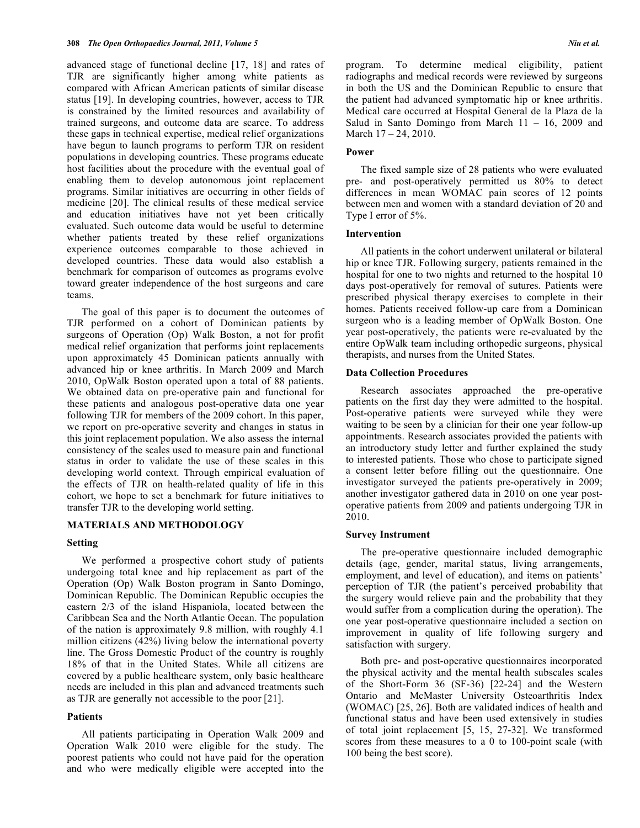advanced stage of functional decline [17, 18] and rates of TJR are significantly higher among white patients as compared with African American patients of similar disease status [19]. In developing countries, however, access to TJR is constrained by the limited resources and availability of trained surgeons, and outcome data are scarce. To address these gaps in technical expertise, medical relief organizations have begun to launch programs to perform TJR on resident populations in developing countries. These programs educate host facilities about the procedure with the eventual goal of enabling them to develop autonomous joint replacement programs. Similar initiatives are occurring in other fields of medicine [20]. The clinical results of these medical service and education initiatives have not yet been critically evaluated. Such outcome data would be useful to determine whether patients treated by these relief organizations experience outcomes comparable to those achieved in developed countries. These data would also establish a benchmark for comparison of outcomes as programs evolve toward greater independence of the host surgeons and care teams.

 The goal of this paper is to document the outcomes of TJR performed on a cohort of Dominican patients by surgeons of Operation (Op) Walk Boston, a not for profit medical relief organization that performs joint replacements upon approximately 45 Dominican patients annually with advanced hip or knee arthritis. In March 2009 and March 2010, OpWalk Boston operated upon a total of 88 patients. We obtained data on pre-operative pain and functional for these patients and analogous post-operative data one year following TJR for members of the 2009 cohort. In this paper, we report on pre-operative severity and changes in status in this joint replacement population. We also assess the internal consistency of the scales used to measure pain and functional status in order to validate the use of these scales in this developing world context. Through empirical evaluation of the effects of TJR on health-related quality of life in this cohort, we hope to set a benchmark for future initiatives to transfer TJR to the developing world setting.

## **MATERIALS AND METHODOLOGY**

## **Setting**

 We performed a prospective cohort study of patients undergoing total knee and hip replacement as part of the Operation (Op) Walk Boston program in Santo Domingo, Dominican Republic. The Dominican Republic occupies the eastern 2/3 of the island Hispaniola, located between the Caribbean Sea and the North Atlantic Ocean. The population of the nation is approximately 9.8 million, with roughly 4.1 million citizens (42%) living below the international poverty line. The Gross Domestic Product of the country is roughly 18% of that in the United States. While all citizens are covered by a public healthcare system, only basic healthcare needs are included in this plan and advanced treatments such as TJR are generally not accessible to the poor [21].

#### **Patients**

 All patients participating in Operation Walk 2009 and Operation Walk 2010 were eligible for the study. The poorest patients who could not have paid for the operation and who were medically eligible were accepted into the program. To determine medical eligibility, patient radiographs and medical records were reviewed by surgeons in both the US and the Dominican Republic to ensure that the patient had advanced symptomatic hip or knee arthritis. Medical care occurred at Hospital General de la Plaza de la Salud in Santo Domingo from March  $11 - 16$ , 2009 and March 17 – 24, 2010.

## **Power**

 The fixed sample size of 28 patients who were evaluated pre- and post-operatively permitted us 80% to detect differences in mean WOMAC pain scores of 12 points between men and women with a standard deviation of 20 and Type I error of 5%.

#### **Intervention**

 All patients in the cohort underwent unilateral or bilateral hip or knee TJR. Following surgery, patients remained in the hospital for one to two nights and returned to the hospital 10 days post-operatively for removal of sutures. Patients were prescribed physical therapy exercises to complete in their homes. Patients received follow-up care from a Dominican surgeon who is a leading member of OpWalk Boston. One year post-operatively, the patients were re-evaluated by the entire OpWalk team including orthopedic surgeons, physical therapists, and nurses from the United States.

## **Data Collection Procedures**

 Research associates approached the pre-operative patients on the first day they were admitted to the hospital. Post-operative patients were surveyed while they were waiting to be seen by a clinician for their one year follow-up appointments. Research associates provided the patients with an introductory study letter and further explained the study to interested patients. Those who chose to participate signed a consent letter before filling out the questionnaire. One investigator surveyed the patients pre-operatively in 2009; another investigator gathered data in 2010 on one year postoperative patients from 2009 and patients undergoing TJR in 2010.

#### **Survey Instrument**

 The pre-operative questionnaire included demographic details (age, gender, marital status, living arrangements, employment, and level of education), and items on patients' perception of TJR (the patient's perceived probability that the surgery would relieve pain and the probability that they would suffer from a complication during the operation). The one year post-operative questionnaire included a section on improvement in quality of life following surgery and satisfaction with surgery.

 Both pre- and post-operative questionnaires incorporated the physical activity and the mental health subscales scales of the Short-Form 36 (SF-36) [22-24] and the Western Ontario and McMaster University Osteoarthritis Index (WOMAC) [25, 26]. Both are validated indices of health and functional status and have been used extensively in studies of total joint replacement [5, 15, 27-32]. We transformed scores from these measures to a 0 to 100-point scale (with 100 being the best score).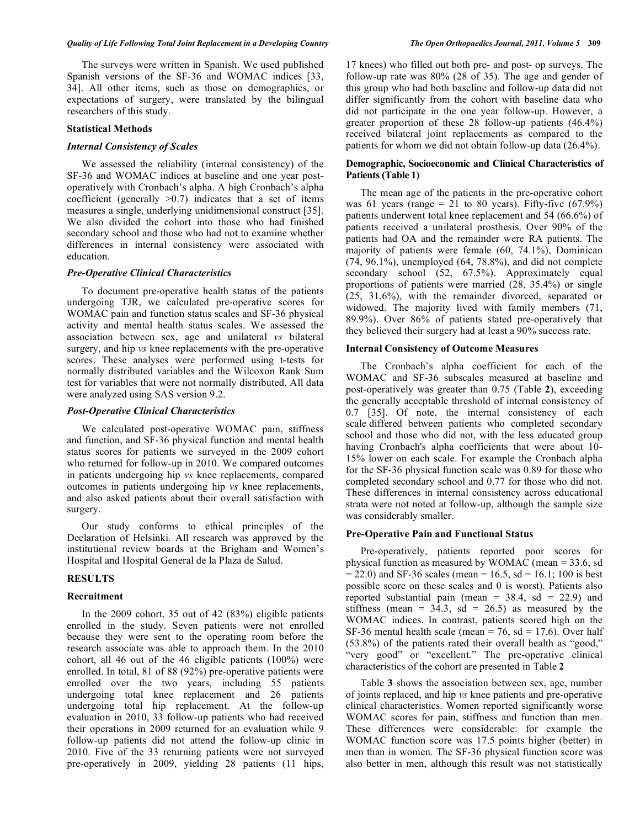The surveys were written in Spanish. We used published Spanish versions of the SF-36 and WOMAC indices [33, 34]. All other items, such as those on demographics, or expectations of surgery, were translated by the bilingual researchers of this study.

#### **Statistical Methods**

#### *Internal Consistency of Scales*

 We assessed the reliability (internal consistency) of the SF-36 and WOMAC indices at baseline and one year postoperatively with Cronbach's alpha. A high Cronbach's alpha coefficient (generally  $>0.7$ ) indicates that a set of items measures a single, underlying unidimensional construct [35]. We also divided the cohort into those who had finished secondary school and those who had not to examine whether differences in internal consistency were associated with education.

## *Pre-Operative Clinical Characteristics*

 To document pre-operative health status of the patients undergoing TJR, we calculated pre-operative scores for WOMAC pain and function status scales and SF-36 physical activity and mental health status scales. We assessed the association between sex, age and unilateral *vs* bilateral surgery, and hip *vs* knee replacements with the pre-operative scores. These analyses were performed using t-tests for normally distributed variables and the Wilcoxon Rank Sum test for variables that were not normally distributed. All data were analyzed using SAS version 9.2.

## *Post-Operative Clinical Characteristics*

 We calculated post-operative WOMAC pain, stiffness and function, and SF-36 physical function and mental health status scores for patients we surveyed in the 2009 cohort who returned for follow-up in 2010. We compared outcomes in patients undergoing hip *vs* knee replacements, compared outcomes in patients undergoing hip *vs* knee replacements, and also asked patients about their overall satisfaction with surgery.

 Our study conforms to ethical principles of the Declaration of Helsinki. All research was approved by the institutional review boards at the Brigham and Women's Hospital and Hospital General de la Plaza de Salud.

## **RESULTS**

## **Recruitment**

 In the 2009 cohort, 35 out of 42 (83%) eligible patients enrolled in the study. Seven patients were not enrolled because they were sent to the operating room before the research associate was able to approach them. In the 2010 cohort, all 46 out of the 46 eligible patients (100%) were enrolled. In total, 81 of 88 (92%) pre-operative patients were enrolled over the two years, including 55 patients undergoing total knee replacement and 26 patients undergoing total hip replacement. At the follow-up evaluation in 2010, 33 follow-up patients who had received their operations in 2009 returned for an evaluation while 9 follow-up patients did not attend the follow-up clinic in 2010. Five of the 33 returning patients were not surveyed pre-operatively in 2009, yielding 28 patients (11 hips,

17 knees) who filled out both pre- and post- op surveys. The follow-up rate was 80% (28 of 35). The age and gender of this group who had both baseline and follow-up data did not differ significantly from the cohort with baseline data who did not participate in the one year follow-up. However, a greater proportion of these 28 follow-up patients (46.4%) received bilateral joint replacements as compared to the patients for whom we did not obtain follow-up data (26.4%).

## **Demographic, Socioeconomic and Clinical Characteristics of Patients (Table 1)**

 The mean age of the patients in the pre-operative cohort was 61 years (range = 21 to 80 years). Fifty-five  $(67.9\%)$ patients underwent total knee replacement and 54 (66.6%) of patients received a unilateral prosthesis. Over 90% of the patients had OA and the remainder were RA patients. The majority of patients were female (60, 74.1%), Dominican  $(74, 96.1\%)$ , unemployed  $(64, 78.8\%)$ , and did not complete secondary school (52, 67.5%). Approximately equal proportions of patients were married (28, 35.4%) or single (25, 31.6%), with the remainder divorced, separated or widowed. The majority lived with family members (71, 89.9%). Over 86% of patients stated pre-operatively that they believed their surgery had at least a 90% success rate.

## **Internal Consistency of Outcome Measures**

 The Cronbach's alpha coefficient for each of the WOMAC and SF-36 subscales measured at baseline and post-operatively was greater than 0.75 (Table **2**), exceeding the generally acceptable threshold of internal consistency of 0.7 [35]. Of note, the internal consistency of each scale differed between patients who completed secondary school and those who did not, with the less educated group having Cronbach's alpha coefficients that were about 10- 15% lower on each scale. For example the Cronbach alpha for the SF-36 physical function scale was 0.89 for those who completed secondary school and 0.77 for those who did not. These differences in internal consistency across educational strata were not noted at follow-up, although the sample size was considerably smaller.

## **Pre-Operative Pain and Functional Status**

 Pre-operatively, patients reported poor scores for physical function as measured by WOMAC (mean = 33.6, sd  $= 22.0$ ) and SF-36 scales (mean  $= 16.5$ , sd  $= 16.1$ ; 100 is best possible score on these scales and 0 is worst). Patients also reported substantial pain (mean =  $38.4$ , sd =  $22.9$ ) and stiffness (mean =  $3\overline{4}.3$ , sd = 26.5) as measured by the WOMAC indices. In contrast, patients scored high on the SF-36 mental health scale (mean = 76, sd = 17.6). Over half (53.8%) of the patients rated their overall health as "good," "very good" or "excellent." The pre-operative clinical characteristics of the cohort are presented in Table **2**

 Table **3** shows the association between sex, age, number of joints replaced, and hip *vs* knee patients and pre-operative clinical characteristics. Women reported significantly worse WOMAC scores for pain, stiffness and function than men. These differences were considerable: for example the WOMAC function score was 17.5 points higher (better) in men than in women. The SF-36 physical function score was also better in men, although this result was not statistically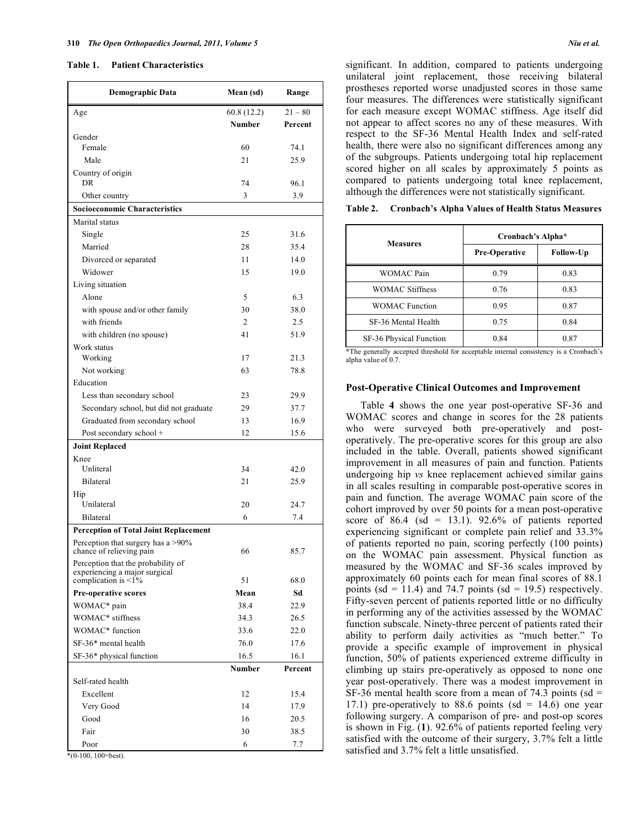#### **Table 1. Patient Characteristics**

| $21 - 80$<br>Age<br>60.8 (12.2)<br><b>Number</b><br>Percent<br>Gender<br>Female<br>60<br>74.1<br>Male<br>21<br>25.9<br>Country of origin<br>DR.<br>74<br>96.1<br>3<br>3.9<br>Other country<br><b>Socioeconomic Characteristics</b><br>Marital status<br>Single<br>25<br>31.6<br>Married<br>28<br>35.4<br>Divorced or separated<br>11<br>14.0<br>Widower<br>15<br>19.0<br>Living situation<br>5<br>6.3<br>Alone<br>30<br>with spouse and/or other family<br>38.0<br>with friends<br>2.5<br>2<br>41<br>with children (no spouse)<br>51.9<br>Work status<br>17<br>21.3<br>Working<br>Not working<br>63<br>78.8<br>Education<br>Less than secondary school<br>23<br>29.9<br>Secondary school, but did not graduate<br>29<br>37.7<br>16.9<br>Graduated from secondary school<br>13<br>15.6<br>Post secondary school +<br>12<br><b>Joint Replaced</b><br>Knee<br>Unliteral<br>34<br>42.0<br>Bilateral<br>21<br>25.9<br>Hip<br>Unilateral<br>20<br>24.7<br>Bilateral<br>6<br>7.4<br><b>Perception of Total Joint Replacement</b><br>Perception that surgery has a >90%<br>85.7<br>66<br>chance of relieving pain<br>Perception that the probability of<br>experiencing a major surgical<br>complication is $\leq 1\%$<br>51<br>68.0<br>Sd<br><b>Pre-operative scores</b><br>Mean<br>WOMAC* pain<br>38.4<br>22.9<br>WOMAC* stiffness<br>34.3<br>26.5<br>WOMAC* function<br>33.6<br>22.0<br>SF-36* mental health<br>76.0<br>17.6<br>SF-36* physical function<br>16.5<br>16.1<br><b>Number</b><br>Percent<br>Self-rated health<br>Excellent<br>12<br>15.4<br>Very Good<br>14<br>17.9<br>16<br>20.5 | <b>Demographic Data</b> | Mean (sd) | Range |
|------------------------------------------------------------------------------------------------------------------------------------------------------------------------------------------------------------------------------------------------------------------------------------------------------------------------------------------------------------------------------------------------------------------------------------------------------------------------------------------------------------------------------------------------------------------------------------------------------------------------------------------------------------------------------------------------------------------------------------------------------------------------------------------------------------------------------------------------------------------------------------------------------------------------------------------------------------------------------------------------------------------------------------------------------------------------------------------------------------------------------------------------------------------------------------------------------------------------------------------------------------------------------------------------------------------------------------------------------------------------------------------------------------------------------------------------------------------------------------------------------------------------------------------------------------------------------------------|-------------------------|-----------|-------|
|                                                                                                                                                                                                                                                                                                                                                                                                                                                                                                                                                                                                                                                                                                                                                                                                                                                                                                                                                                                                                                                                                                                                                                                                                                                                                                                                                                                                                                                                                                                                                                                          |                         |           |       |
|                                                                                                                                                                                                                                                                                                                                                                                                                                                                                                                                                                                                                                                                                                                                                                                                                                                                                                                                                                                                                                                                                                                                                                                                                                                                                                                                                                                                                                                                                                                                                                                          |                         |           |       |
|                                                                                                                                                                                                                                                                                                                                                                                                                                                                                                                                                                                                                                                                                                                                                                                                                                                                                                                                                                                                                                                                                                                                                                                                                                                                                                                                                                                                                                                                                                                                                                                          |                         |           |       |
|                                                                                                                                                                                                                                                                                                                                                                                                                                                                                                                                                                                                                                                                                                                                                                                                                                                                                                                                                                                                                                                                                                                                                                                                                                                                                                                                                                                                                                                                                                                                                                                          |                         |           |       |
|                                                                                                                                                                                                                                                                                                                                                                                                                                                                                                                                                                                                                                                                                                                                                                                                                                                                                                                                                                                                                                                                                                                                                                                                                                                                                                                                                                                                                                                                                                                                                                                          |                         |           |       |
|                                                                                                                                                                                                                                                                                                                                                                                                                                                                                                                                                                                                                                                                                                                                                                                                                                                                                                                                                                                                                                                                                                                                                                                                                                                                                                                                                                                                                                                                                                                                                                                          |                         |           |       |
|                                                                                                                                                                                                                                                                                                                                                                                                                                                                                                                                                                                                                                                                                                                                                                                                                                                                                                                                                                                                                                                                                                                                                                                                                                                                                                                                                                                                                                                                                                                                                                                          |                         |           |       |
|                                                                                                                                                                                                                                                                                                                                                                                                                                                                                                                                                                                                                                                                                                                                                                                                                                                                                                                                                                                                                                                                                                                                                                                                                                                                                                                                                                                                                                                                                                                                                                                          |                         |           |       |
|                                                                                                                                                                                                                                                                                                                                                                                                                                                                                                                                                                                                                                                                                                                                                                                                                                                                                                                                                                                                                                                                                                                                                                                                                                                                                                                                                                                                                                                                                                                                                                                          |                         |           |       |
|                                                                                                                                                                                                                                                                                                                                                                                                                                                                                                                                                                                                                                                                                                                                                                                                                                                                                                                                                                                                                                                                                                                                                                                                                                                                                                                                                                                                                                                                                                                                                                                          |                         |           |       |
|                                                                                                                                                                                                                                                                                                                                                                                                                                                                                                                                                                                                                                                                                                                                                                                                                                                                                                                                                                                                                                                                                                                                                                                                                                                                                                                                                                                                                                                                                                                                                                                          |                         |           |       |
|                                                                                                                                                                                                                                                                                                                                                                                                                                                                                                                                                                                                                                                                                                                                                                                                                                                                                                                                                                                                                                                                                                                                                                                                                                                                                                                                                                                                                                                                                                                                                                                          |                         |           |       |
|                                                                                                                                                                                                                                                                                                                                                                                                                                                                                                                                                                                                                                                                                                                                                                                                                                                                                                                                                                                                                                                                                                                                                                                                                                                                                                                                                                                                                                                                                                                                                                                          |                         |           |       |
|                                                                                                                                                                                                                                                                                                                                                                                                                                                                                                                                                                                                                                                                                                                                                                                                                                                                                                                                                                                                                                                                                                                                                                                                                                                                                                                                                                                                                                                                                                                                                                                          |                         |           |       |
|                                                                                                                                                                                                                                                                                                                                                                                                                                                                                                                                                                                                                                                                                                                                                                                                                                                                                                                                                                                                                                                                                                                                                                                                                                                                                                                                                                                                                                                                                                                                                                                          |                         |           |       |
|                                                                                                                                                                                                                                                                                                                                                                                                                                                                                                                                                                                                                                                                                                                                                                                                                                                                                                                                                                                                                                                                                                                                                                                                                                                                                                                                                                                                                                                                                                                                                                                          |                         |           |       |
|                                                                                                                                                                                                                                                                                                                                                                                                                                                                                                                                                                                                                                                                                                                                                                                                                                                                                                                                                                                                                                                                                                                                                                                                                                                                                                                                                                                                                                                                                                                                                                                          |                         |           |       |
|                                                                                                                                                                                                                                                                                                                                                                                                                                                                                                                                                                                                                                                                                                                                                                                                                                                                                                                                                                                                                                                                                                                                                                                                                                                                                                                                                                                                                                                                                                                                                                                          |                         |           |       |
|                                                                                                                                                                                                                                                                                                                                                                                                                                                                                                                                                                                                                                                                                                                                                                                                                                                                                                                                                                                                                                                                                                                                                                                                                                                                                                                                                                                                                                                                                                                                                                                          |                         |           |       |
|                                                                                                                                                                                                                                                                                                                                                                                                                                                                                                                                                                                                                                                                                                                                                                                                                                                                                                                                                                                                                                                                                                                                                                                                                                                                                                                                                                                                                                                                                                                                                                                          |                         |           |       |
|                                                                                                                                                                                                                                                                                                                                                                                                                                                                                                                                                                                                                                                                                                                                                                                                                                                                                                                                                                                                                                                                                                                                                                                                                                                                                                                                                                                                                                                                                                                                                                                          |                         |           |       |
|                                                                                                                                                                                                                                                                                                                                                                                                                                                                                                                                                                                                                                                                                                                                                                                                                                                                                                                                                                                                                                                                                                                                                                                                                                                                                                                                                                                                                                                                                                                                                                                          |                         |           |       |
|                                                                                                                                                                                                                                                                                                                                                                                                                                                                                                                                                                                                                                                                                                                                                                                                                                                                                                                                                                                                                                                                                                                                                                                                                                                                                                                                                                                                                                                                                                                                                                                          |                         |           |       |
|                                                                                                                                                                                                                                                                                                                                                                                                                                                                                                                                                                                                                                                                                                                                                                                                                                                                                                                                                                                                                                                                                                                                                                                                                                                                                                                                                                                                                                                                                                                                                                                          |                         |           |       |
|                                                                                                                                                                                                                                                                                                                                                                                                                                                                                                                                                                                                                                                                                                                                                                                                                                                                                                                                                                                                                                                                                                                                                                                                                                                                                                                                                                                                                                                                                                                                                                                          |                         |           |       |
|                                                                                                                                                                                                                                                                                                                                                                                                                                                                                                                                                                                                                                                                                                                                                                                                                                                                                                                                                                                                                                                                                                                                                                                                                                                                                                                                                                                                                                                                                                                                                                                          |                         |           |       |
|                                                                                                                                                                                                                                                                                                                                                                                                                                                                                                                                                                                                                                                                                                                                                                                                                                                                                                                                                                                                                                                                                                                                                                                                                                                                                                                                                                                                                                                                                                                                                                                          |                         |           |       |
|                                                                                                                                                                                                                                                                                                                                                                                                                                                                                                                                                                                                                                                                                                                                                                                                                                                                                                                                                                                                                                                                                                                                                                                                                                                                                                                                                                                                                                                                                                                                                                                          |                         |           |       |
|                                                                                                                                                                                                                                                                                                                                                                                                                                                                                                                                                                                                                                                                                                                                                                                                                                                                                                                                                                                                                                                                                                                                                                                                                                                                                                                                                                                                                                                                                                                                                                                          |                         |           |       |
|                                                                                                                                                                                                                                                                                                                                                                                                                                                                                                                                                                                                                                                                                                                                                                                                                                                                                                                                                                                                                                                                                                                                                                                                                                                                                                                                                                                                                                                                                                                                                                                          |                         |           |       |
|                                                                                                                                                                                                                                                                                                                                                                                                                                                                                                                                                                                                                                                                                                                                                                                                                                                                                                                                                                                                                                                                                                                                                                                                                                                                                                                                                                                                                                                                                                                                                                                          |                         |           |       |
|                                                                                                                                                                                                                                                                                                                                                                                                                                                                                                                                                                                                                                                                                                                                                                                                                                                                                                                                                                                                                                                                                                                                                                                                                                                                                                                                                                                                                                                                                                                                                                                          |                         |           |       |
|                                                                                                                                                                                                                                                                                                                                                                                                                                                                                                                                                                                                                                                                                                                                                                                                                                                                                                                                                                                                                                                                                                                                                                                                                                                                                                                                                                                                                                                                                                                                                                                          |                         |           |       |
|                                                                                                                                                                                                                                                                                                                                                                                                                                                                                                                                                                                                                                                                                                                                                                                                                                                                                                                                                                                                                                                                                                                                                                                                                                                                                                                                                                                                                                                                                                                                                                                          |                         |           |       |
|                                                                                                                                                                                                                                                                                                                                                                                                                                                                                                                                                                                                                                                                                                                                                                                                                                                                                                                                                                                                                                                                                                                                                                                                                                                                                                                                                                                                                                                                                                                                                                                          |                         |           |       |
|                                                                                                                                                                                                                                                                                                                                                                                                                                                                                                                                                                                                                                                                                                                                                                                                                                                                                                                                                                                                                                                                                                                                                                                                                                                                                                                                                                                                                                                                                                                                                                                          |                         |           |       |
|                                                                                                                                                                                                                                                                                                                                                                                                                                                                                                                                                                                                                                                                                                                                                                                                                                                                                                                                                                                                                                                                                                                                                                                                                                                                                                                                                                                                                                                                                                                                                                                          |                         |           |       |
|                                                                                                                                                                                                                                                                                                                                                                                                                                                                                                                                                                                                                                                                                                                                                                                                                                                                                                                                                                                                                                                                                                                                                                                                                                                                                                                                                                                                                                                                                                                                                                                          |                         |           |       |
|                                                                                                                                                                                                                                                                                                                                                                                                                                                                                                                                                                                                                                                                                                                                                                                                                                                                                                                                                                                                                                                                                                                                                                                                                                                                                                                                                                                                                                                                                                                                                                                          |                         |           |       |
|                                                                                                                                                                                                                                                                                                                                                                                                                                                                                                                                                                                                                                                                                                                                                                                                                                                                                                                                                                                                                                                                                                                                                                                                                                                                                                                                                                                                                                                                                                                                                                                          |                         |           |       |
|                                                                                                                                                                                                                                                                                                                                                                                                                                                                                                                                                                                                                                                                                                                                                                                                                                                                                                                                                                                                                                                                                                                                                                                                                                                                                                                                                                                                                                                                                                                                                                                          |                         |           |       |
|                                                                                                                                                                                                                                                                                                                                                                                                                                                                                                                                                                                                                                                                                                                                                                                                                                                                                                                                                                                                                                                                                                                                                                                                                                                                                                                                                                                                                                                                                                                                                                                          |                         |           |       |
|                                                                                                                                                                                                                                                                                                                                                                                                                                                                                                                                                                                                                                                                                                                                                                                                                                                                                                                                                                                                                                                                                                                                                                                                                                                                                                                                                                                                                                                                                                                                                                                          |                         |           |       |
|                                                                                                                                                                                                                                                                                                                                                                                                                                                                                                                                                                                                                                                                                                                                                                                                                                                                                                                                                                                                                                                                                                                                                                                                                                                                                                                                                                                                                                                                                                                                                                                          |                         |           |       |
|                                                                                                                                                                                                                                                                                                                                                                                                                                                                                                                                                                                                                                                                                                                                                                                                                                                                                                                                                                                                                                                                                                                                                                                                                                                                                                                                                                                                                                                                                                                                                                                          |                         |           |       |
|                                                                                                                                                                                                                                                                                                                                                                                                                                                                                                                                                                                                                                                                                                                                                                                                                                                                                                                                                                                                                                                                                                                                                                                                                                                                                                                                                                                                                                                                                                                                                                                          |                         |           |       |
|                                                                                                                                                                                                                                                                                                                                                                                                                                                                                                                                                                                                                                                                                                                                                                                                                                                                                                                                                                                                                                                                                                                                                                                                                                                                                                                                                                                                                                                                                                                                                                                          |                         |           |       |
|                                                                                                                                                                                                                                                                                                                                                                                                                                                                                                                                                                                                                                                                                                                                                                                                                                                                                                                                                                                                                                                                                                                                                                                                                                                                                                                                                                                                                                                                                                                                                                                          |                         |           |       |
|                                                                                                                                                                                                                                                                                                                                                                                                                                                                                                                                                                                                                                                                                                                                                                                                                                                                                                                                                                                                                                                                                                                                                                                                                                                                                                                                                                                                                                                                                                                                                                                          |                         |           |       |
|                                                                                                                                                                                                                                                                                                                                                                                                                                                                                                                                                                                                                                                                                                                                                                                                                                                                                                                                                                                                                                                                                                                                                                                                                                                                                                                                                                                                                                                                                                                                                                                          | Good                    |           |       |
| 30<br>38.5<br>Fair                                                                                                                                                                                                                                                                                                                                                                                                                                                                                                                                                                                                                                                                                                                                                                                                                                                                                                                                                                                                                                                                                                                                                                                                                                                                                                                                                                                                                                                                                                                                                                       |                         |           |       |
| 6<br>7.7<br>Poor                                                                                                                                                                                                                                                                                                                                                                                                                                                                                                                                                                                                                                                                                                                                                                                                                                                                                                                                                                                                                                                                                                                                                                                                                                                                                                                                                                                                                                                                                                                                                                         | $*(0-100, 100=best)$ .  |           |       |

significant. In addition, compared to patients undergoing unilateral joint replacement, those receiving bilateral prostheses reported worse unadjusted scores in those same four measures. The differences were statistically significant for each measure except WOMAC stiffness. Age itself did not appear to affect scores no any of these measures. With respect to the SF-36 Mental Health Index and self-rated health, there were also no significant differences among any of the subgroups. Patients undergoing total hip replacement scored higher on all scales by approximately 5 points as

| <b>Measures</b>         | Cronbach's Alpha* |           |  |  |  |  |
|-------------------------|-------------------|-----------|--|--|--|--|
|                         | Pre-Operative     | Follow-Up |  |  |  |  |
| WOMAC Pain              | 0.79              | 0.83      |  |  |  |  |
| <b>WOMAC Stiffness</b>  | 0.76              | 0.83      |  |  |  |  |
| <b>WOMAC</b> Function   | 0.95              | 0.87      |  |  |  |  |
| SF-36 Mental Health     | 0.75              | 0.84      |  |  |  |  |
| SF-36 Physical Function | 0.84              | 0.87      |  |  |  |  |

**Table 2. Cronbach's Alpha Values of Health Status Measures** 

compared to patients undergoing total knee replacement, although the differences were not statistically significant.

\*The generally accepted threshold for acceptable internal consistency is a Cronbach's alpha value of 0.7.

#### **Post-Operative Clinical Outcomes and Improvement**

 Table **4** shows the one year post-operative SF-36 and WOMAC scores and change in scores for the 28 patients who were surveyed both pre-operatively and postoperatively. The pre-operative scores for this group are also included in the table. Overall, patients showed significant improvement in all measures of pain and function. Patients undergoing hip *vs* knee replacement achieved similar gains in all scales resulting in comparable post-operative scores in pain and function. The average WOMAC pain score of the cohort improved by over 50 points for a mean post-operative score of 86.4 (sd = 13.1). 92.6% of patients reported experiencing significant or complete pain relief and 33.3% of patients reported no pain, scoring perfectly (100 points) on the WOMAC pain assessment. Physical function as measured by the WOMAC and SF-36 scales improved by approximately 60 points each for mean final scores of 88.1 points (sd = 11.4) and 74.7 points (sd = 19.5) respectively. Fifty-seven percent of patients reported little or no difficulty in performing any of the activities assessed by the WOMAC function subscale. Ninety-three percent of patients rated their ability to perform daily activities as "much better." To provide a specific example of improvement in physical function, 50% of patients experienced extreme difficulty in climbing up stairs pre-operatively as opposed to none one year post-operatively. There was a modest improvement in SF-36 mental health score from a mean of 74.3 points (sd  $=$ 17.1) pre-operatively to 88.6 points (sd = 14.6) one year following surgery. A comparison of pre- and post-op scores is shown in Fig. (**1**). 92.6% of patients reported feeling very satisfied with the outcome of their surgery, 3.7% felt a little satisfied and 3.7% felt a little unsatisfied.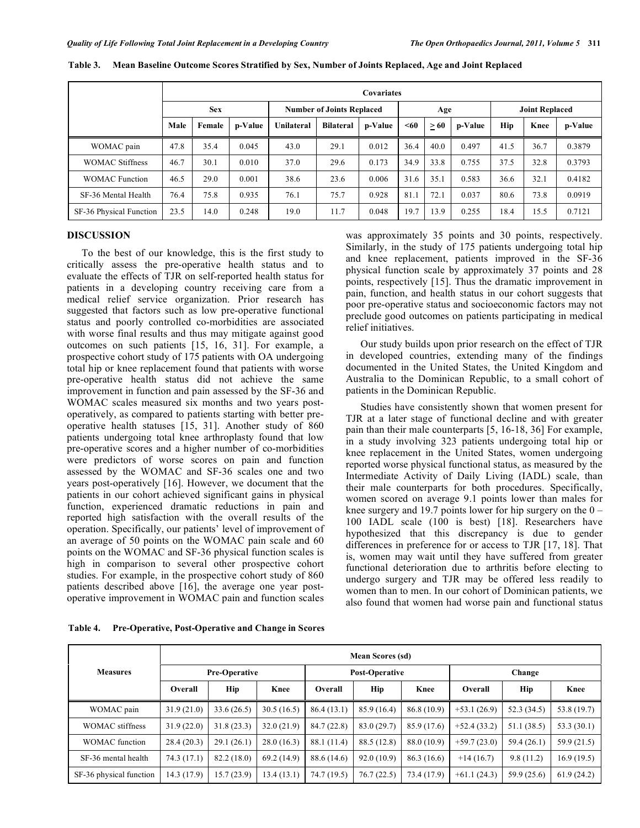|                         |            | <b>Covariates</b> |         |                                  |                  |         |      |           |         |                       |      |         |
|-------------------------|------------|-------------------|---------|----------------------------------|------------------|---------|------|-----------|---------|-----------------------|------|---------|
|                         | <b>Sex</b> |                   |         | <b>Number of Joints Replaced</b> |                  |         | Age  |           |         | <b>Joint Replaced</b> |      |         |
|                         | Male       | Female            | p-Value | Unilateral                       | <b>Bilateral</b> | p-Value | $60$ | $\geq 60$ | p-Value | Hip                   | Knee | p-Value |
| WOMAC pain              | 47.8       | 35.4              | 0.045   | 43.0                             | 29.1             | 0.012   | 36.4 | 40.0      | 0.497   | 41.5                  | 36.7 | 0.3879  |
| <b>WOMAC Stiffness</b>  | 46.7       | 30.1              | 0.010   | 37.0                             | 29.6             | 0.173   | 34.9 | 33.8      | 0.755   | 37.5                  | 32.8 | 0.3793  |
| <b>WOMAC</b> Function   | 46.5       | 29.0              | 0.001   | 38.6                             | 23.6             | 0.006   | 31.6 | 35.1      | 0.583   | 36.6                  | 32.1 | 0.4182  |
| SF-36 Mental Health     | 76.4       | 75.8              | 0.935   | 76.1                             | 75.7             | 0.928   | 81.1 | 72.1      | 0.037   | 80.6                  | 73.8 | 0.0919  |
| SF-36 Physical Function | 23.5       | 14.0              | 0.248   | 19.0                             | 11.7             | 0.048   | 19.7 | 13.9      | 0.255   | 18.4                  | 15.5 | 0.7121  |

**Table 3. Mean Baseline Outcome Scores Stratified by Sex, Number of Joints Replaced, Age and Joint Replaced** 

# **DISCUSSION**

 To the best of our knowledge, this is the first study to critically assess the pre-operative health status and to evaluate the effects of TJR on self-reported health status for patients in a developing country receiving care from a medical relief service organization. Prior research has suggested that factors such as low pre-operative functional status and poorly controlled co-morbidities are associated with worse final results and thus may mitigate against good outcomes on such patients [15, 16, 31]. For example, a prospective cohort study of 175 patients with OA undergoing total hip or knee replacement found that patients with worse pre-operative health status did not achieve the same improvement in function and pain assessed by the SF-36 and WOMAC scales measured six months and two years postoperatively, as compared to patients starting with better preoperative health statuses [15, 31]. Another study of 860 patients undergoing total knee arthroplasty found that low pre-operative scores and a higher number of co-morbidities were predictors of worse scores on pain and function assessed by the WOMAC and SF-36 scales one and two years post-operatively [16]. However, we document that the patients in our cohort achieved significant gains in physical function, experienced dramatic reductions in pain and reported high satisfaction with the overall results of the operation. Specifically, our patients' level of improvement of an average of 50 points on the WOMAC pain scale and 60 points on the WOMAC and SF-36 physical function scales is high in comparison to several other prospective cohort studies. For example, in the prospective cohort study of 860 patients described above [16], the average one year postoperative improvement in WOMAC pain and function scales was approximately 35 points and 30 points, respectively. Similarly, in the study of 175 patients undergoing total hip and knee replacement, patients improved in the SF-36 physical function scale by approximately 37 points and 28 points, respectively [15]. Thus the dramatic improvement in pain, function, and health status in our cohort suggests that poor pre-operative status and socioeconomic factors may not preclude good outcomes on patients participating in medical relief initiatives.

 Our study builds upon prior research on the effect of TJR in developed countries, extending many of the findings documented in the United States, the United Kingdom and Australia to the Dominican Republic, to a small cohort of patients in the Dominican Republic.

 Studies have consistently shown that women present for TJR at a later stage of functional decline and with greater pain than their male counterparts [5, 16-18, 36] For example, in a study involving 323 patients undergoing total hip or knee replacement in the United States, women undergoing reported worse physical functional status, as measured by the Intermediate Activity of Daily Living (IADL) scale, than their male counterparts for both procedures. Specifically, women scored on average 9.1 points lower than males for knee surgery and 19.7 points lower for hip surgery on the  $0 -$ 100 IADL scale (100 is best) [18]. Researchers have hypothesized that this discrepancy is due to gender differences in preference for or access to TJR [17, 18]. That is, women may wait until they have suffered from greater functional deterioration due to arthritis before electing to undergo surgery and TJR may be offered less readily to women than to men. In our cohort of Dominican patients, we also found that women had worse pain and functional status

|                         | <b>Mean Scores (sd)</b> |                      |             |             |                |             |                |             |             |  |
|-------------------------|-------------------------|----------------------|-------------|-------------|----------------|-------------|----------------|-------------|-------------|--|
| <b>Measures</b>         |                         | <b>Pre-Operative</b> |             |             | Post-Operative |             | Change         |             |             |  |
|                         | Overall                 | <b>Hip</b>           | Knee        | Overall     | <b>Hip</b>     | Knee        | <b>Overall</b> | Hip         | Knee        |  |
| WOMAC pain              | 31.9(21.0)              | 33.6(26.5)           | 30.5(16.5)  | 86.4 (13.1) | 85.9 (16.4)    | 86.8 (10.9) | $+53.1(26.9)$  | 52.3 (34.5) | 53.8 (19.7) |  |
| <b>WOMAC</b> stiffness  | 31.9(22.0)              | 31.8(23.3)           | 32.0(21.9)  | 84.7(22.8)  | 83.0(29.7)     | 85.9 (17.6) | $+52.4(33.2)$  | 51.1(38.5)  | 53.3(30.1)  |  |
| <b>WOMAC</b> function   | 28.4(20.3)              | 29.1(26.1)           | 28.0(16.3)  | 88.1 (11.4) | 88.5 (12.8)    | 88.0 (10.9) | $+59.7(23.0)$  | 59.4(26.1)  | 59.9 (21.5) |  |
| SF-36 mental health     | 74.3 (17.1)             | 82.2 (18.0)          | 69.2 (14.9) | 88.6 (14.6) | 92.0(10.9)     | 86.3 (16.6) | $+14(16.7)$    | 9.8(11.2)   | 16.9(19.5)  |  |
| SF-36 physical function | 14.3(17.9)              | 15.7(23.9)           | 13.4(13.1)  | 74.7(19.5)  | 76.7(22.5)     | 73.4 (17.9) | $+61.1(24.3)$  | 59.9 (25.6) | 61.9(24.2)  |  |

**Table 4. Pre-Operative, Post-Operative and Change in Scores**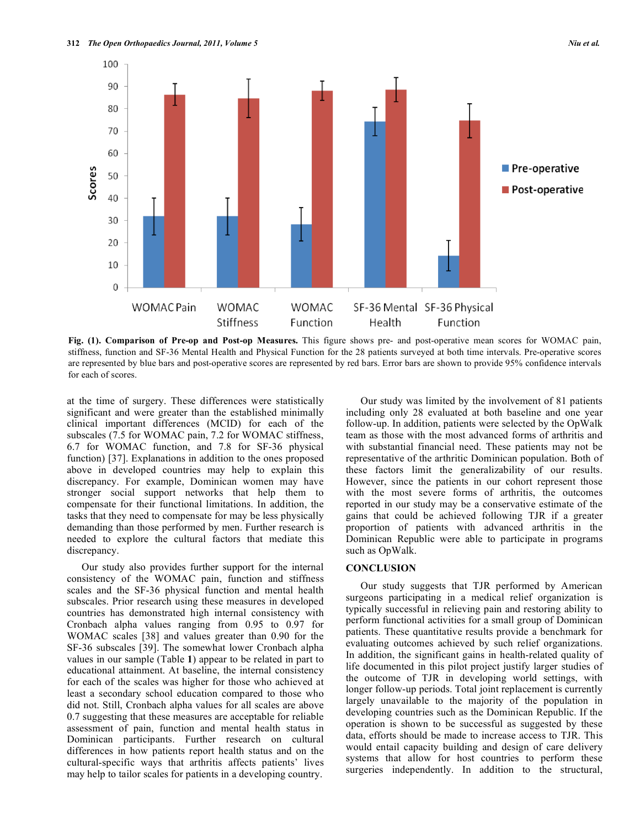

**Fig. (1). Comparison of Pre-op and Post-op Measures.** This figure shows pre- and post-operative mean scores for WOMAC pain, stiffness, function and SF-36 Mental Health and Physical Function for the 28 patients surveyed at both time intervals. Pre-operative scores are represented by blue bars and post-operative scores are represented by red bars. Error bars are shown to provide 95% confidence intervals for each of scores.

at the time of surgery. These differences were statistically significant and were greater than the established minimally clinical important differences (MCID) for each of the subscales (7.5 for WOMAC pain, 7.2 for WOMAC stiffness, 6.7 for WOMAC function, and 7.8 for SF-36 physical function) [37]. Explanations in addition to the ones proposed above in developed countries may help to explain this discrepancy. For example, Dominican women may have stronger social support networks that help them to compensate for their functional limitations. In addition, the tasks that they need to compensate for may be less physically demanding than those performed by men. Further research is needed to explore the cultural factors that mediate this discrepancy.

 Our study also provides further support for the internal consistency of the WOMAC pain, function and stiffness scales and the SF-36 physical function and mental health subscales. Prior research using these measures in developed countries has demonstrated high internal consistency with Cronbach alpha values ranging from 0.95 to 0.97 for WOMAC scales [38] and values greater than 0.90 for the SF-36 subscales [39]. The somewhat lower Cronbach alpha values in our sample (Table **1**) appear to be related in part to educational attainment. At baseline, the internal consistency for each of the scales was higher for those who achieved at least a secondary school education compared to those who did not. Still, Cronbach alpha values for all scales are above 0.7 suggesting that these measures are acceptable for reliable assessment of pain, function and mental health status in Dominican participants. Further research on cultural differences in how patients report health status and on the cultural-specific ways that arthritis affects patients' lives may help to tailor scales for patients in a developing country.

 Our study was limited by the involvement of 81 patients including only 28 evaluated at both baseline and one year follow-up. In addition, patients were selected by the OpWalk team as those with the most advanced forms of arthritis and with substantial financial need. These patients may not be representative of the arthritic Dominican population. Both of these factors limit the generalizability of our results. However, since the patients in our cohort represent those with the most severe forms of arthritis, the outcomes reported in our study may be a conservative estimate of the gains that could be achieved following TJR if a greater proportion of patients with advanced arthritis in the Dominican Republic were able to participate in programs such as OpWalk.

## **CONCLUSION**

 Our study suggests that TJR performed by American surgeons participating in a medical relief organization is typically successful in relieving pain and restoring ability to perform functional activities for a small group of Dominican patients. These quantitative results provide a benchmark for evaluating outcomes achieved by such relief organizations. In addition, the significant gains in health-related quality of life documented in this pilot project justify larger studies of the outcome of TJR in developing world settings, with longer follow-up periods. Total joint replacement is currently largely unavailable to the majority of the population in developing countries such as the Dominican Republic. If the operation is shown to be successful as suggested by these data, efforts should be made to increase access to TJR. This would entail capacity building and design of care delivery systems that allow for host countries to perform these surgeries independently. In addition to the structural,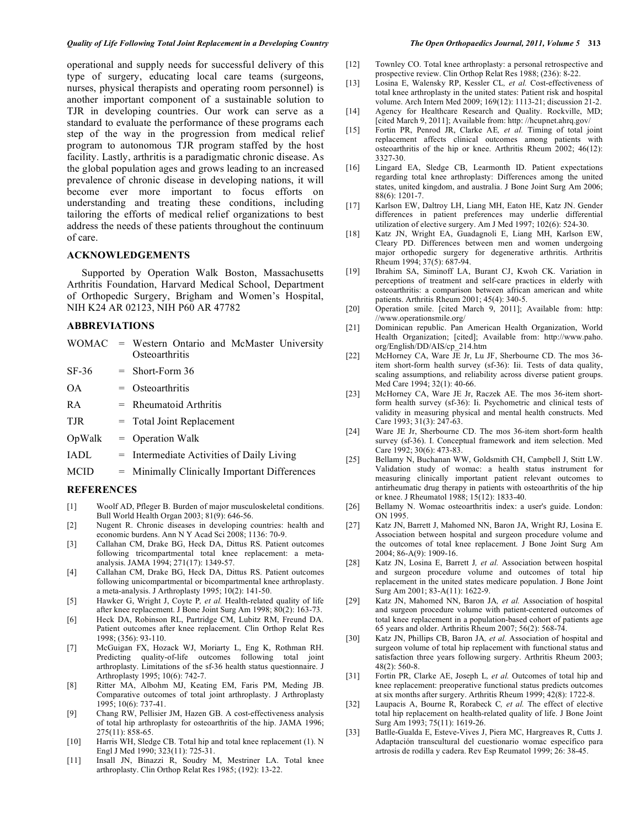operational and supply needs for successful delivery of this type of surgery, educating local care teams (surgeons, nurses, physical therapists and operating room personnel) is another important component of a sustainable solution to TJR in developing countries. Our work can serve as a standard to evaluate the performance of these programs each step of the way in the progression from medical relief program to autonomous TJR program staffed by the host facility. Lastly, arthritis is a paradigmatic chronic disease. As the global population ages and grows leading to an increased prevalence of chronic disease in developing nations, it will become ever more important to focus efforts on understanding and treating these conditions, including tailoring the efforts of medical relief organizations to best address the needs of these patients throughout the continuum of care.

# **ACKNOWLEDGEMENTS**

 Supported by Operation Walk Boston, Massachusetts Arthritis Foundation, Harvard Medical School, Department of Orthopedic Surgery, Brigham and Women's Hospital, NIH K24 AR 02123, NIH P60 AR 47782

## **ABBREVIATIONS**

|                   | WOMAC = Western Ontario and McMaster University<br>Osteoarthritis |
|-------------------|-------------------------------------------------------------------|
| $SF-36$           | $=$ Short-Form 36                                                 |
| <b>OA</b>         | $=$ Osteoarthritis                                                |
| <b>RA</b>         | $=$ Rheumatoid Arthritis                                          |
| <b>TJR</b>        | $=$ Total Joint Replacement                                       |
| OpWalk            | $=$ Operation Walk                                                |
| <b>IADL</b>       | $=$ Intermediate Activities of Daily Living                       |
| <b>MCID</b>       | = Minimally Clinically Important Differences                      |
| <b>BEERBEVORG</b> |                                                                   |

#### **REFERENCES**

- [1] Woolf AD, Pfleger B. Burden of major musculoskeletal conditions. Bull World Health Organ 2003; 81(9): 646-56.
- [2] Nugent R. Chronic diseases in developing countries: health and economic burdens. Ann N Y Acad Sci 2008; 1136: 70-9.
- [3] Callahan CM, Drake BG, Heck DA, Dittus RS. Patient outcomes following tricompartmental total knee replacement: a metaanalysis. JAMA 1994; 271(17): 1349-57.
- [4] Callahan CM, Drake BG, Heck DA, Dittus RS. Patient outcomes following unicompartmental or bicompartmental knee arthroplasty. a meta-analysis. J Arthroplasty 1995;  $10(2)$ : 141-50.
- [5] Hawker G, Wright J, Coyte P*, et al.* Health-related quality of life after knee replacement. J Bone Joint Surg Am 1998; 80(2): 163-73.
- [6] Heck DA, Robinson RL, Partridge CM, Lubitz RM, Freund DA. Patient outcomes after knee replacement. Clin Orthop Relat Res 1998; (356): 93-110.
- [7] McGuigan FX, Hozack WJ, Moriarty L, Eng K, Rothman RH. Predicting quality-of-life outcomes following total joint arthroplasty. Limitations of the sf-36 health status questionnaire. J Arthroplasty 1995; 10(6): 742-7.
- [8] Ritter MA, Albohm MJ, Keating EM, Faris PM, Meding JB. Comparative outcomes of total joint arthroplasty. J Arthroplasty 1995; 10(6): 737-41.
- [9] Chang RW, Pellisier JM, Hazen GB. A cost-effectiveness analysis of total hip arthroplasty for osteoarthritis of the hip. JAMA 1996; 275(11): 858-65.
- [10] Harris WH, Sledge CB. Total hip and total knee replacement (1). N Engl J Med 1990; 323(11): 725-31.
- [11] Insall JN, Binazzi R, Soudry M, Mestriner LA. Total knee arthroplasty. Clin Orthop Relat Res 1985; (192): 13-22.
- 
- [12] Townley CO. Total knee arthroplasty: a personal retrospective and prospective review. Clin Orthop Relat Res 1988; (236): 8-22.
- [13] Losina E, Walensky RP, Kessler CL*, et al.* Cost-effectiveness of total knee arthroplasty in the united states: Patient risk and hospital volume. Arch Intern Med 2009; 169(12): 1113-21; discussion 21-2.
- [14] Agency for Healthcare Research and Quality. Rockville, MD; [cited March 9, 2011]; Available from: http: //hcupnet.ahrq.gov/
- [15] Fortin PR, Penrod JR, Clarke AE*, et al.* Timing of total joint replacement affects clinical outcomes among patients with osteoarthritis of the hip or knee. Arthritis Rheum 2002; 46(12): 3327-30.
- [16] Lingard EA, Sledge CB, Learmonth ID. Patient expectations regarding total knee arthroplasty: Differences among the united states, united kingdom, and australia. J Bone Joint Surg Am 2006; 88(6): 1201-7.
- [17] Karlson EW, Daltroy LH, Liang MH, Eaton HE, Katz JN. Gender differences in patient preferences may underlie differential utilization of elective surgery. Am J Med 1997; 102(6): 524-30.
- [18] Katz JN, Wright EA, Guadagnoli E, Liang MH, Karlson EW, Cleary PD. Differences between men and women undergoing major orthopedic surgery for degenerative arthritis. Arthritis Rheum 1994; 37(5): 687-94.
- [19] Ibrahim SA, Siminoff LA, Burant CJ, Kwoh CK. Variation in perceptions of treatment and self-care practices in elderly with osteoarthritis: a comparison between african american and white patients. Arthritis Rheum 2001; 45(4): 340-5.
- [20] Operation smile. [cited March 9, 2011]; Available from: http: //www.operationsmile.org/
- [21] Dominican republic. Pan American Health Organization, World Health Organization; [cited]; Available from: http://www.paho. org/English/DD/AIS/cp\_214.htm
- [22] McHorney CA, Ware JE Jr, Lu JF, Sherbourne CD. The mos 36 item short-form health survey (sf-36): Iii. Tests of data quality, scaling assumptions, and reliability across diverse patient groups. Med Care 1994; 32(1): 40-66.
- [23] McHorney CA, Ware JE Jr, Raczek AE. The mos 36-item shortform health survey (sf-36): Ii. Psychometric and clinical tests of validity in measuring physical and mental health constructs. Med Care 1993; 31(3): 247-63.
- [24] Ware JE Jr, Sherbourne CD. The mos 36-item short-form health survey (sf-36). I. Conceptual framework and item selection. Med Care 1992; 30(6): 473-83.
- [25] Bellamy N, Buchanan WW, Goldsmith CH, Campbell J, Stitt LW. Validation study of womac: a health status instrument for measuring clinically important patient relevant outcomes to antirheumatic drug therapy in patients with osteoarthritis of the hip or knee. J Rheumatol 1988; 15(12): 1833-40.
- [26] Bellamy N. Womac osteoarthritis index: a user's guide. London: ON 1995.
- [27] Katz JN, Barrett J, Mahomed NN, Baron JA, Wright RJ, Losina E. Association between hospital and surgeon procedure volume and the outcomes of total knee replacement. J Bone Joint Surg Am 2004; 86-A(9): 1909-16.
- [28] Katz JN, Losina E, Barrett J*, et al.* Association between hospital and surgeon procedure volume and outcomes of total hip replacement in the united states medicare population. J Bone Joint Surg Am 2001; 83-A(11): 1622-9.
- [29] Katz JN, Mahomed NN, Baron JA*, et al.* Association of hospital and surgeon procedure volume with patient-centered outcomes of total knee replacement in a population-based cohort of patients age 65 years and older. Arthritis Rheum 2007; 56(2): 568-74.
- [30] Katz JN, Phillips CB, Baron JA*, et al.* Association of hospital and surgeon volume of total hip replacement with functional status and satisfaction three years following surgery. Arthritis Rheum 2003; 48(2): 560-8.
- [31] Fortin PR, Clarke AE, Joseph L*, et al.* Outcomes of total hip and knee replacement: preoperative functional status predicts outcomes at six months after surgery. Arthritis Rheum 1999; 42(8): 1722-8.
- [32] Laupacis A, Bourne R, Rorabeck C*, et al.* The effect of elective total hip replacement on health-related quality of life. J Bone Joint Surg Am 1993; 75(11): 1619-26.
- [33] Batlle-Gualda E, Esteve-Vives J, Piera MC, Hargreaves R, Cutts J. Adaptación transcultural del cuestionario womac específico para artrosis de rodilla y cadera. Rev Esp Reumatol 1999; 26: 38-45.